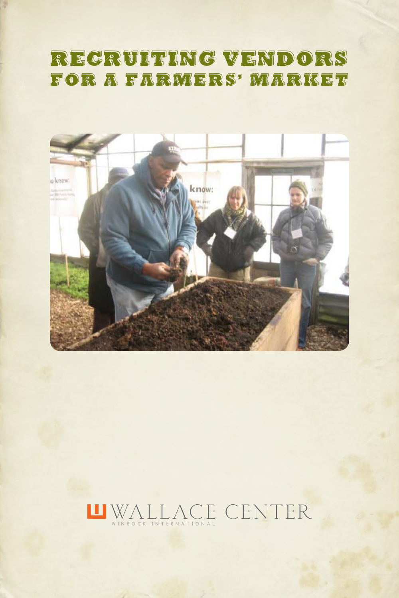# RECRUITING VENDORS FOR A FARMERS' MARKET



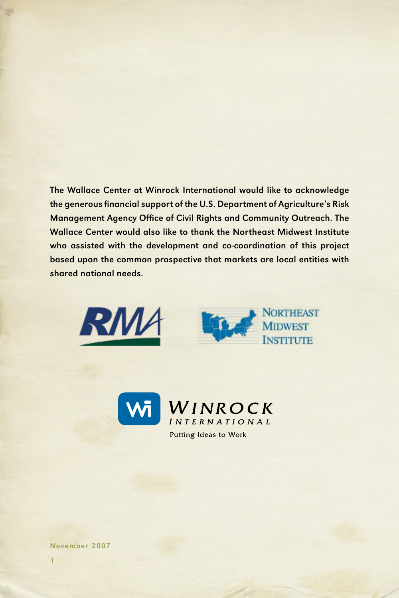The Wallace Center at Winrock International would like to acknowledge the generous financial support of the U.S. Department of Agriculture's Risk Management Agency Office of Civil Rights and Community Outreach. The Wallace Center would also like to thank the Northeast Midwest Institute who assisted with the development and co-coordination of this project based upon the common prospective that markets are local entities with shared national needs.







November 2007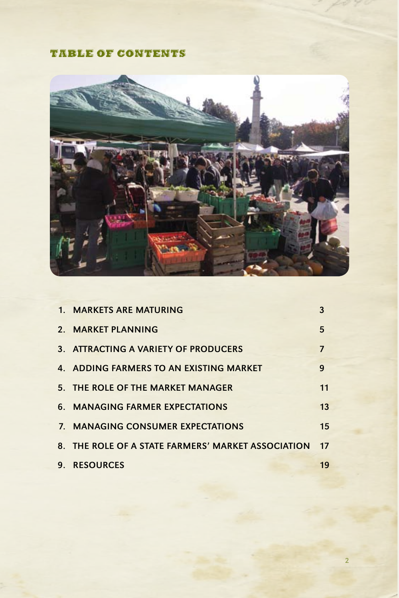# Table of contents



| 1. MARKETS ARE MATURING                            | 3  |
|----------------------------------------------------|----|
| 2. MARKET PLANNING                                 | 5  |
| 3. ATTRACTING A VARIETY OF PRODUCERS               | 7  |
| 4. ADDING FARMERS TO AN EXISTING MARKET            | 9  |
| 5. THE ROLE OF THE MARKET MANAGER                  | 11 |
| 6. MANAGING FARMER EXPECTATIONS                    | 13 |
| 7. MANAGING CONSUMER EXPECTATIONS                  | 15 |
| 8. THE ROLE OF A STATE FARMERS' MARKET ASSOCIATION | 17 |
| 9. RESOURCES                                       | 19 |

2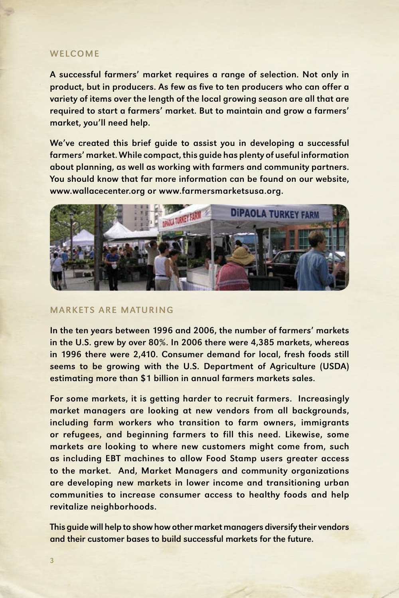### **WELCOME**

A successful farmers' market requires a range of selection. Not only in product, but in producers. As few as five to ten producers who can offer a variety of items over the length of the local growing season are all that are required to start a farmers' market. But to maintain and grow a farmers' market, you'll need help.

We've created this brief guide to assist you in developing a successful farmers' market. While compact, this guide has plenty of useful information about planning, as well as working with farmers and community partners. You should know that far more information can be found on our website, www.wallacecenter.org or www.farmersmarketsusa.org.



#### Markets are Maturing

In the ten years between 1996 and 2006, the number of farmers' markets in the U.S. grew by over 80%. In 2006 there were 4,385 markets, whereas in 1996 there were 2,410. Consumer demand for local, fresh foods still seems to be growing with the U.S. Department of Agriculture (USDA) estimating more than \$1 billion in annual farmers markets sales.

For some markets, it is getting harder to recruit farmers. Increasingly market managers are looking at new vendors from all backgrounds, including farm workers who transition to farm owners, immigrants or refugees, and beginning farmers to fill this need. Likewise, some markets are looking to where new customers might come from, such as including EBT machines to allow Food Stamp users greater access to the market. And, Market Managers and community organizations are developing new markets in lower income and transitioning urban communities to increase consumer access to healthy foods and help revitalize neighborhoods.

This guide will help to show how other market managers diversify their vendors and their customer bases to build successful markets for the future.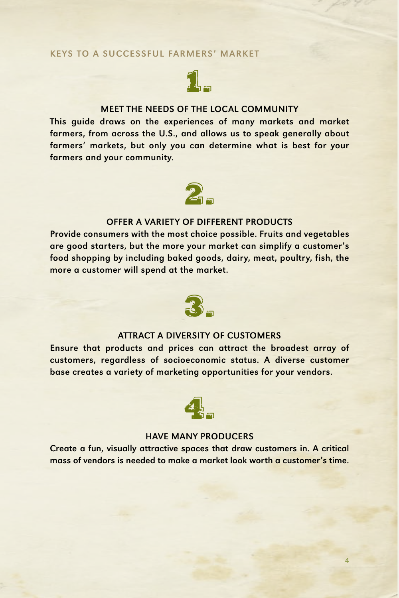### KEYS TO A SUCCESSFUL FARMERS' MARKET



### MEET THE NEEDS OF THE LOCAL COMMUNITY

This guide draws on the experiences of many markets and market farmers, from across the U.S., and allows us to speak generally about farmers' markets, but only you can determine what is best for your farmers and your community.



### OFFER A VARIETY OF DIFFERENT PRODUCTS

Provide consumers with the most choice possible. Fruits and vegetables are good starters, but the more your market can simplify a customer's food shopping by including baked goods, dairy, meat, poultry, fish, the more a customer will spend at the market.



### Attract a Diversity of Customers

Ensure that products and prices can attract the broadest array of customers, regardless of socioeconomic status. A diverse customer base creates a variety of marketing opportunities for your vendors.



#### HAVE MANY PRODUCERS

Create a fun, visually attractive spaces that draw customers in. A critical mass of vendors is needed to make a market look worth a customer's time.

4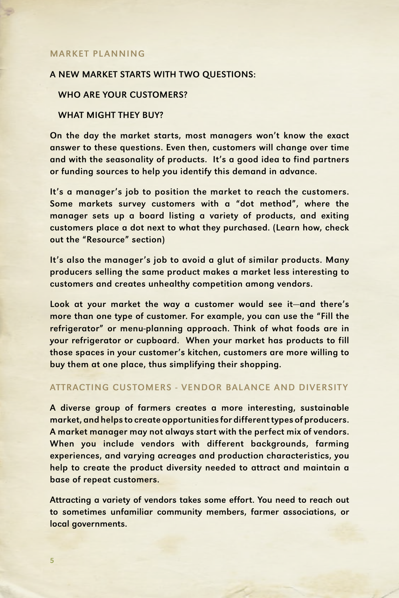### **MARKET PLANNING**

#### A NEW MARKET STARTS WITH TWO QUESTIONS:

#### WHO ARE YOUR CUSTOMERS?

### WHAT MIGHT THEY BUY?

On the day the market starts, most managers won't know the exact answer to these questions. Even then, customers will change over time and with the seasonality of products. It's a good idea to find partners or funding sources to help you identify this demand in advance.

It's a manager's job to position the market to reach the customers. Some markets survey customers with a "dot method", where the manager sets up a board listing a variety of products, and exiting customers place a dot next to what they purchased. (Learn how, check out the "Resource" section)

It's also the manager's job to avoid a glut of similar products. Many producers selling the same product makes a market less interesting to customers and creates unhealthy competition among vendors.

Look at your market the way a customer would see it—and there's more than one type of customer. For example, you can use the "Fill the refrigerator" or menu-planning approach. Think of what foods are in your refrigerator or cupboard. When your market has products to fill those spaces in your customer's kitchen, customers are more willing to buy them at one place, thus simplifying their shopping.

### ATTRACTING CUSTOMERS - VENDOR BALANCE AND DIVERSITY

A diverse group of farmers creates a more interesting, sustainable market, and helps to create opportunities for different types of producers. A market manager may not always start with the perfect mix of vendors. When you include vendors with different backgrounds, farming experiences, and varying acreages and production characteristics, you help to create the product diversity needed to attract and maintain a base of repeat customers.

Attracting a variety of vendors takes some effort. You need to reach out to sometimes unfamiliar community members, farmer associations, or local governments.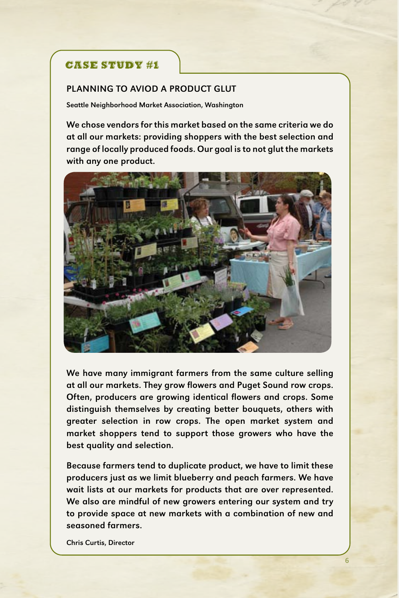# CASE STUDY #1

### Planning to Aviod a product Glut

Seattle Neighborhood Market Association, Washington

We chose vendors for this market based on the same criteria we do at all our markets: providing shoppers with the best selection and range of locally produced foods. Our goal is to not glut the markets with any one product.



We have many immigrant farmers from the same culture selling at all our markets. They grow flowers and Puget Sound row crops. Often, producers are growing identical flowers and crops. Some distinguish themselves by creating better bouquets, others with greater selection in row crops. The open market system and market shoppers tend to support those growers who have the best quality and selection.

Because farmers tend to duplicate product, we have to limit these producers just as we limit blueberry and peach farmers. We have wait lists at our markets for products that are over represented. We also are mindful of new growers entering our system and try to provide space at new markets with a combination of new and seasoned farmers.

Chris Curtis, Director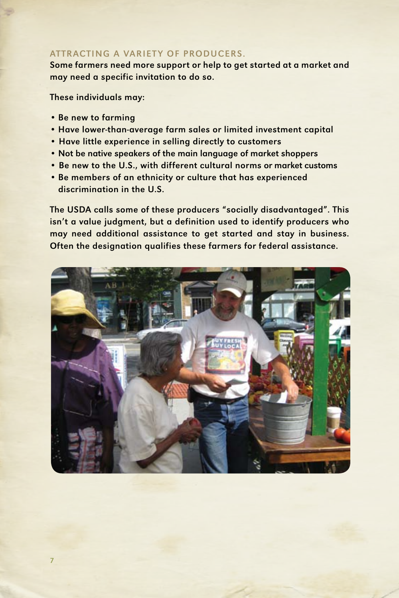# ATTRACTING A VARIETY OF PRODUCERS.

Some farmers need more support or help to get started at a market and may need a specific invitation to do so.

These individuals may:

- Be new to farming
- Have lower-than-average farm sales or limited investment capital
- Have little experience in selling directly to customers
- Not be native speakers of the main language of market shoppers
- Be new to the U.S., with different cultural norms or market customs
- Be members of an ethnicity or culture that has experienced discrimination in the U.S.

The USDA calls some of these producers "socially disadvantaged". This isn't a value judgment, but a definition used to identify producers who may need additional assistance to get started and stay in business. Often the designation qualifies these farmers for federal assistance.

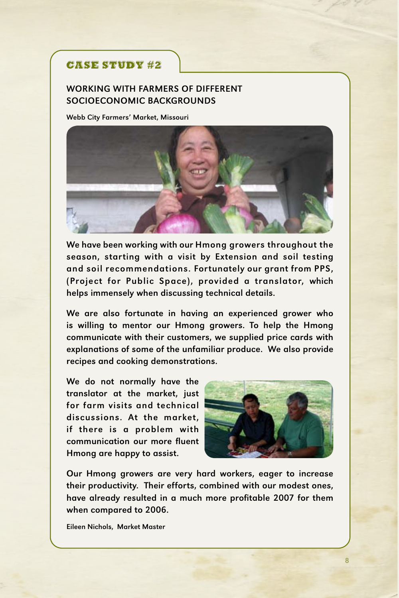# CASE STUDY #2

## Working with farmers of different socioeconomic backgrounds

Webb City Farmers' Market, Missouri



We have been working with our Hmong growers throughout the season, starting with a visit by Extension and soil testing and soil recommendations. Fortunately our grant from PPS, (Project for Public Space), provided a translator, which helps immensely when discussing technical details.

We are also fortunate in having an experienced grower who is willing to mentor our Hmong growers. To help the Hmong communicate with their customers, we supplied price cards with explanations of some of the unfamiliar produce. We also provide recipes and cooking demonstrations.

We do not normally have the translator at the market, just for farm visits and technical discussions. At the market, if there is a problem with communication our more fluent Hmong are happy to assist.



Our Hmong growers are very hard workers, eager to increase their productivity. Their efforts, combined with our modest ones, have already resulted in a much more profitable 2007 for them when compared to 2006.

Eileen Nichols, Market Master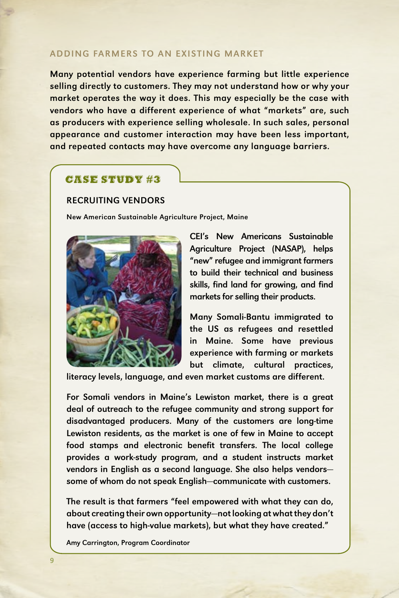### ADDING FARMERS TO AN EXISTING MARKET

Many potential vendors have experience farming but little experience selling directly to customers. They may not understand how or why your market operates the way it does. This may especially be the case with vendors who have a different experience of what "markets" are, such as producers with experience selling wholesale. In such sales, personal appearance and customer interaction may have been less important, and repeated contacts may have overcome any language barriers.

# CASE STUDY #3

# RECRUITING VENDORS

New American Sustainable Agriculture Project, Maine



CEI's New Americans Sustainable Agriculture Project (NASAP), helps "new" refugee and immigrant farmers to build their technical and business skills, find land for growing, and find markets for selling their products.

Many Somali-Bantu immigrated to the US as refugees and resettled in Maine. Some have previous experience with farming or markets but climate, cultural practices,

literacy levels, language, and even market customs are different.

For Somali vendors in Maine's Lewiston market, there is a great deal of outreach to the refugee community and strong support for disadvantaged producers. Many of the customers are long-time Lewiston residents, as the market is one of few in Maine to accept food stamps and electronic benefit transfers. The local college provides a work-study program, and a student instructs market vendors in English as a second language. She also helps vendors some of whom do not speak English—communicate with customers.

The result is that farmers "feel empowered with what they can do, about creating their own opportunity—not looking at what they don't have (access to high-value markets), but what they have created."

Amy Carrington, Program Coordinator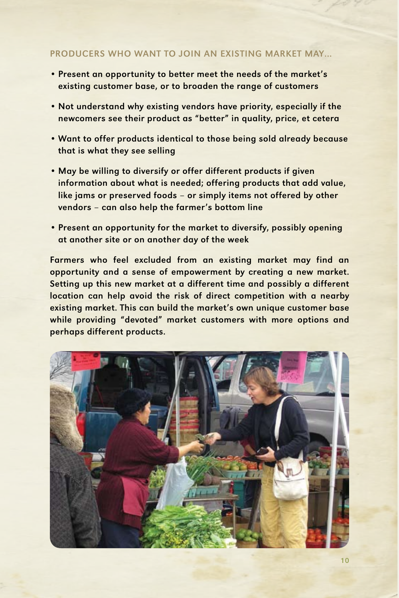## PRODUCERS WHO WANT TO JOIN AN EXISTING MARKET MAY…

- Present an opportunity to better meet the needs of the market's existing customer base, or to broaden the range of customers
- Not understand why existing vendors have priority, especially if the newcomers see their product as "better" in quality, price, et cetera
- Want to offer products identical to those being sold already because that is what they see selling
- May be willing to diversify or offer different products if given information about what is needed; offering products that add value, like jams or preserved foods – or simply items not offered by other vendors – can also help the farmer's bottom line
- Present an opportunity for the market to diversify, possibly opening at another site or on another day of the week

Farmers who feel excluded from an existing market may find an opportunity and a sense of empowerment by creating a new market. Setting up this new market at a different time and possibly a different location can help avoid the risk of direct competition with a nearby existing market. This can build the market's own unique customer base while providing "devoted" market customers with more options and perhaps different products.

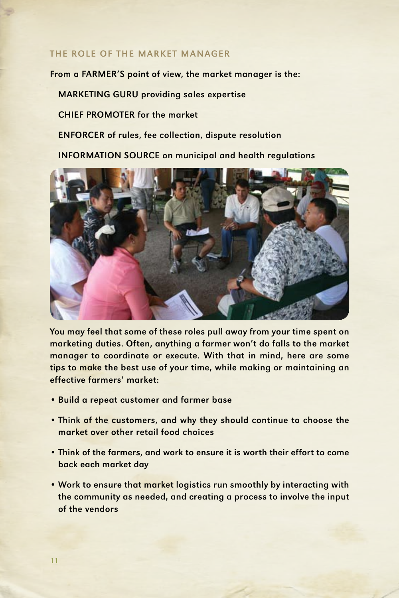### THE ROLE OF THE MARKET MANAGER

From a FARMER'S point of view, the market manager is the:

MARKETING GURU providing sales expertise

CHIEF PROMOTER for the market

ENFORCER of rules, fee collection, dispute resolution

INFORMATION SOURCE on municipal and health regulations



You may feel that some of these roles pull away from your time spent on marketing duties. Often, anything a farmer won't do falls to the market manager to coordinate or execute. With that in mind, here are some tips to make the best use of your time, while making or maintaining an effective farmers' market:

- Build a repeat customer and farmer base
- Think of the customers, and why they should continue to choose the market over other retail food choices
- Think of the farmers, and work to ensure it is worth their effort to come back each market day
- Work to ensure that market logistics run smoothly by interacting with the community as needed, and creating a process to involve the input of the vendors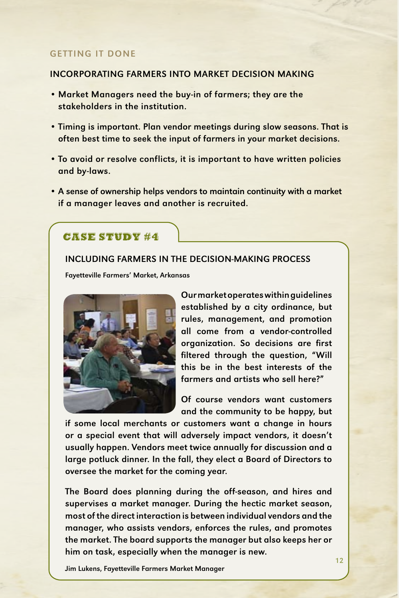### GETTING IT DONE

### INCORPORATING FARMERS INTO MARKET DECISION MAKING

- Market Managers need the buy-in of farmers; they are the stakeholders in the institution.
- Timing is important. Plan vendor meetings during slow seasons. That is often best time to seek the input of farmers in your market decisions.
- To avoid or resolve conflicts, it is important to have written policies and by-laws.
- A sense of ownership helps vendors to maintain continuity with a market if a manager leaves and another is recruited.

### CASE STUDY #4

#### Including Farmers In the Decision-Making Process

Fayetteville Farmers' Market, Arkansas



Our market operates within guidelines established by a city ordinance, but rules, management, and promotion all come from a vendor-controlled organization. So decisions are first filtered through the question, "Will this be in the best interests of the farmers and artists who sell here?"

Of course vendors want customers and the community to be happy, but

if some local merchants or customers want a change in hours or a special event that will adversely impact vendors, it doesn't usually happen. Vendors meet twice annually for discussion and a large potluck dinner. In the fall, they elect a Board of Directors to oversee the market for the coming year.

The Board does planning during the off-season, and hires and supervises a market manager. During the hectic market season, most of the direct interaction is between individual vendors and the manager, who assists vendors, enforces the rules, and promotes the market. The board supports the manager but also keeps her or him on task, especially when the manager is new.

Jim Lukens, Fayetteville Farmers Market Manager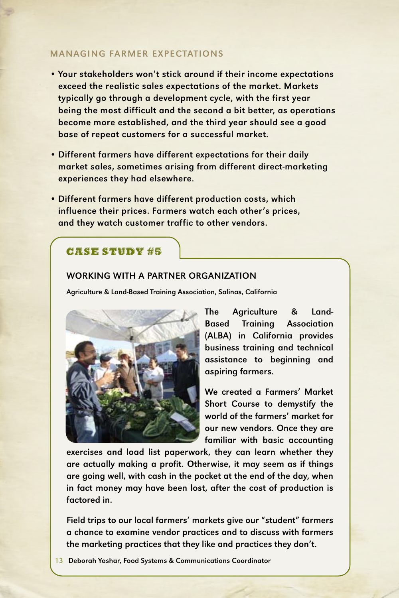## MANAGING FARMER EXPECTATIONS

- Your stakeholders won't stick around if their income expectations exceed the realistic sales expectations of the market. Markets typically go through a development cycle, with the first year being the most difficult and the second a bit better, as operations become more established, and the third year should see a good base of repeat customers for a successful market.
- Different farmers have different expectations for their daily market sales, sometimes arising from different direct-marketing experiences they had elsewhere.
- Different farmers have different production costs, which influence their prices. Farmers watch each other's prices, and they watch customer traffic to other vendors.

# CASE STUDY #5

### Working with A Partner Organization

Agriculture & Land-Based Training Association, Salinas, California



The Agriculture & Land-Based Training Association (ALBA) in California provides business training and technical assistance to beginning and aspiring farmers.

We created a Farmers' Market Short Course to demystify the world of the farmers' market for our new vendors. Once they are familiar with basic accounting

exercises and load list paperwork, they can learn whether they are actually making a profit. Otherwise, it may seem as if things are going well, with cash in the pocket at the end of the day, when in fact money may have been lost, after the cost of production is factored in.

Field trips to our local farmers' markets give our "student" farmers a chance to examine vendor practices and to discuss with farmers the marketing practices that they like and practices they don't.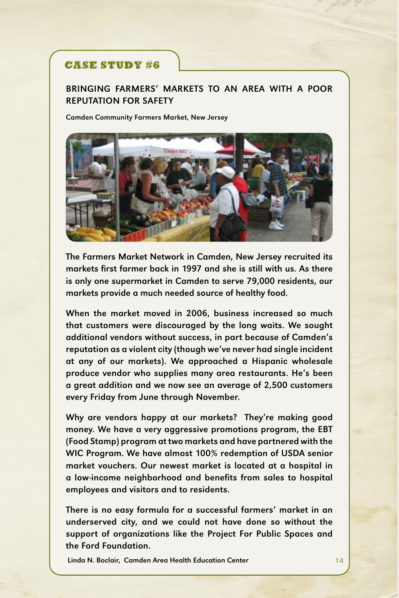# CASE STUDY #6

# BRINGING FARMERS' MARKETS TO AN AREA WITH A POOR REPUTATION FOR SAFETY

Camden Community Farmers Market, New Jersey



The Farmers Market Network in Camden, New Jersey recruited its markets first farmer back in 1997 and she is still with us. As there is only one supermarket in Camden to serve 79,000 residents, our markets provide a much needed source of healthy food.

When the market moved in 2006, business increased so much that customers were discouraged by the long waits. We sought additional vendors without success, in part because of Camden's reputation as a violent city (though we've never had single incident at any of our markets). We approached a Hispanic wholesale produce vendor who supplies many area restaurants. He's been a great addition and we now see an average of 2,500 customers every Friday from June through November.

Why are vendors happy at our markets? They're making good money. We have a very aggressive promotions program, the EBT (Food Stamp) program at two markets and have partnered with the WIC Program. We have almost 100% redemption of USDA senior market vouchers. Our newest market is located at a hospital in a low-income neighborhood and benefits from sales to hospital employees and visitors and to residents.

There is no easy formula for a successful farmers' market in an underserved city, and we could not have done so without the support of organizations like the Project For Public Spaces and the Ford Foundation.

Linda N. Boclair, Camden Area Health Education Center 14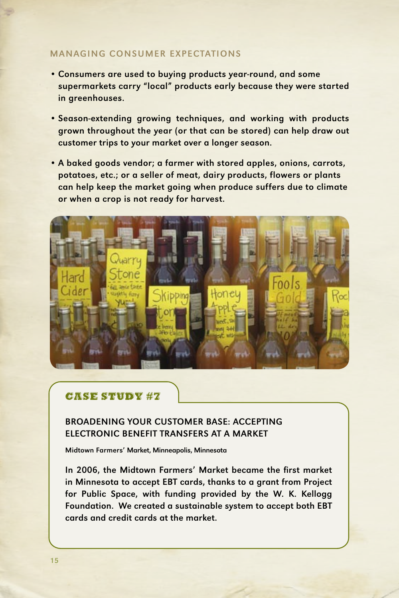### MANAGING CONSUMER EXPECTATIONS

- Consumers are used to buying products year-round, and some supermarkets carry "local" products early because they were started in greenhouses.
- Season-extending growing techniques, and working with products grown throughout the year (or that can be stored) can help draw out customer trips to your market over a longer season.
- A baked goods vendor; a farmer with stored apples, onions, carrots, potatoes, etc.; or a seller of meat, dairy products, flowers or plants can help keep the market going when produce suffers due to climate or when a crop is not ready for harvest.



# CASE STUDY #7

# Broadening Your Customer Base: ACCEPTING Electronic Benefit Transfers AT A MARKET

Midtown Farmers' Market, Minneapolis, Minnesota

In 2006, the Midtown Farmers' Market became the first market in Minnesota to accept EBT cards, thanks to a grant from Project for Public Space, with funding provided by the W. K. Kellogg Foundation. We created a sustainable system to accept both EBT cards and credit cards at the market.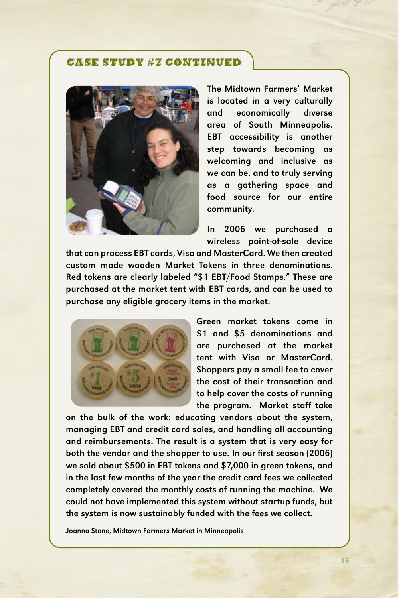### CASE STUDY #7 continued



The Midtown Farmers' Market is located in a very culturally and economically diverse area of South Minneapolis. EBT accessibility is another step towards becoming as welcoming and inclusive as we can be, and to truly serving as a gathering space and food source for our entire community.

In 2006 we purchased a wireless point-of-sale device

that can process EBT cards, Visa and MasterCard. We then created custom made wooden Market Tokens in three denominations. Red tokens are clearly labeled "\$1 EBT/Food Stamps." These are purchased at the market tent with EBT cards, and can be used to purchase any eligible grocery items in the market.



Green market tokens come in \$1 and \$5 denominations and are purchased at the market tent with Visa or MasterCard. Shoppers pay a small fee to cover the cost of their transaction and to help cover the costs of running the program. Market staff take

on the bulk of the work: educating vendors about the system, managing EBT and credit card sales, and handling all accounting and reimbursements. The result is a system that is very easy for both the vendor and the shopper to use. In our first season (2006) we sold about \$500 in EBT tokens and \$7,000 in green tokens, and in the last few months of the year the credit card fees we collected completely covered the monthly costs of running the machine. We could not have implemented this system without startup funds, but the system is now sustainably funded with the fees we collect.

Joanna Stone, Midtown Farmers Market in Minneapolis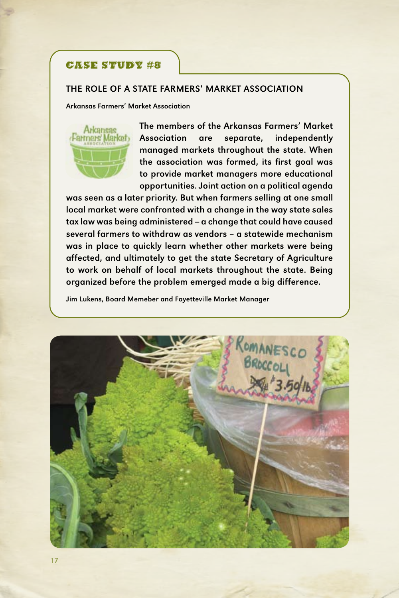# CASE STUDY #8

#### The role of a State Farmers' Market Association

Arkansas Farmers' Market Association



The members of the Arkansas Farmers' Market Association are separate, independently managed markets throughout the state. When the association was formed, its first goal was to provide market managers more educational opportunities. Joint action on a political agenda

was seen as a later priority. But when farmers selling at one small local market were confronted with a change in the way state sales tax law was being administered - a change that could have caused several farmers to withdraw as vendors – a statewide mechanism was in place to quickly learn whether other markets were being affected, and ultimately to get the state Secretary of Agriculture to work on behalf of local markets throughout the state. Being organized before the problem emerged made a big difference.

Jim Lukens, Board Memeber and Fayetteville Market Manager

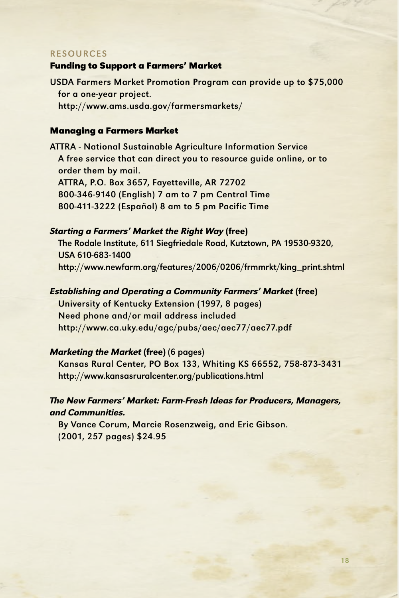#### **RESOURCES**

#### **Funding to Support a Farmers' Market**

USDA Farmers Market Promotion Program can provide up to \$75,000 for a one-year project. http://www.ams.usda.gov/farmersmarkets/

### **Managing a Farmers Market**

ATTRA - National Sustainable Agriculture Information Service A free service that can direct you to resource guide online, or to order them by mail. ATTRA, P.O. Box 3657, Fayetteville, AR 72702 800-346-9140 (English) 7 am to 7 pm Central Time 800-411-3222 (Español) 8 am to 5 pm Pacific Time

#### Starting a Farmers' Market the Right Way (free)

The Rodale Institute, 611 Siegfriedale Road, Kutztown, PA 19530-9320, USA 610-683-1400 http://www.newfarm.org/features/2006/0206/frmmrkt/king\_print.shtml

Establishing and Operating a Community Farmers' Market (free)

University of Kentucky Extension (1997, 8 pages) Need phone and/or mail address included http://www.ca.uky.edu/agc/pubs/aec/aec77/aec77.pdf

### Marketing the Market (free) (6 pages)

 Kansas Rural Center, PO Box 133, Whiting KS 66552, 758-873-3431 http://www.kansasruralcenter.org/publications.html

# The New Farmers' Market: Farm-Fresh Ideas for Producers, Managers, and Communities.

By Vance Corum, Marcie Rosenzweig, and Eric Gibson. (2001, 257 pages) \$24.95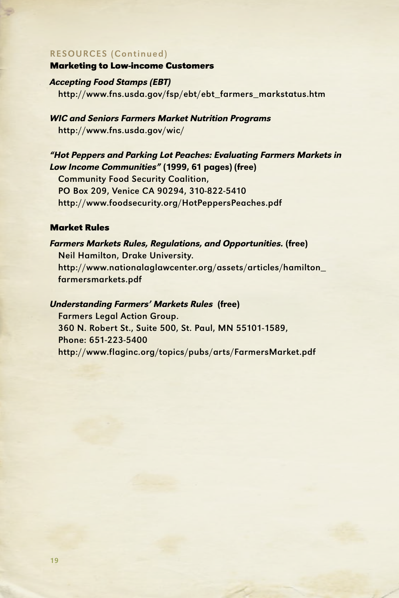#### RESOURCES (Continued)

#### **Marketing to Low-income Customers**

Accepting Food Stamps (EBT) http://www.fns.usda.gov/fsp/ebt/ebt\_farmers\_markstatus.htm

# WIC and Seniors Farmers Market Nutrition Programs http://www.fns.usda.gov/wic/

# "Hot Peppers and Parking Lot Peaches: Evaluating Farmers Markets in Low Income Communities" (1999, 61 pages) (free)

Community Food Security Coalition, PO Box 209, Venice CA 90294, 310-822-5410 http://www.foodsecurity.org/HotPeppersPeaches.pdf

### **Market Rules**

### Farmers Markets Rules, Regulations, and Opportunities. (free)

Neil Hamilton, Drake University. http://www.nationalaglawcenter.org/assets/articles/hamilton\_ farmersmarkets.pdf

### Understanding Farmers' Markets Rules (free)

Farmers Legal Action Group. 360 N. Robert St., Suite 500, St. Paul, MN 55101-1589, Phone: 651-223-5400 http://www.flaginc.org/topics/pubs/arts/FarmersMarket.pdf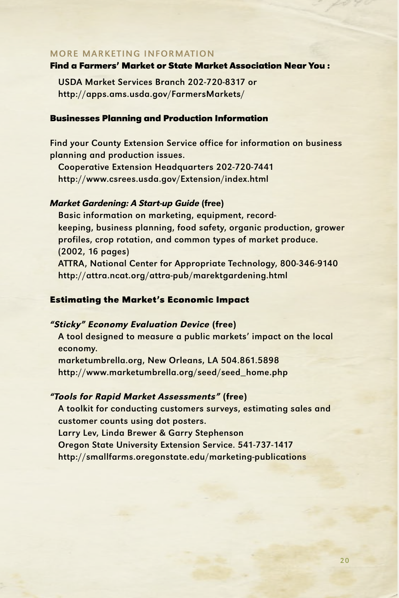### More Marketing Information

#### **Find a Farmers' Market or State Market Association Near You :**

USDA Market Services Branch 202-720-8317 or http://apps.ams.usda.gov/FarmersMarkets/

### **Businesses Planning and Production Information**

Find your County Extension Service office for information on business planning and production issues.

Cooperative Extension Headquarters 202-720-7441 http://www.csrees.usda.gov/Extension/index.html

### Market Gardening: A Start-up Guide (free)

 Basic information on marketing, equipment, recordkeeping, business planning, food safety, organic production, grower profiles, crop rotation, and common types of market produce. (2002, 16 pages) ATTRA, National Center for Appropriate Technology, 800-346-9140 http://attra.ncat.org/attra-pub/marektgardening.html

### **Estimating the Market's Economic Impact**

### "Sticky" Economy Evaluation Device (free)

A tool designed to measure a public markets' impact on the local economy. marketumbrella.org, New Orleans, LA 504.861.5898 http://www.marketumbrella.org/seed/seed\_home.php

#### "Tools for Rapid Market Assessments" (free)

A toolkit for conducting customers surveys, estimating sales and customer counts using dot posters. Larry Lev, Linda Brewer & Garry Stephenson Oregon State University Extension Service. 541-737-1417 http://smallfarms.oregonstate.edu/marketing-publications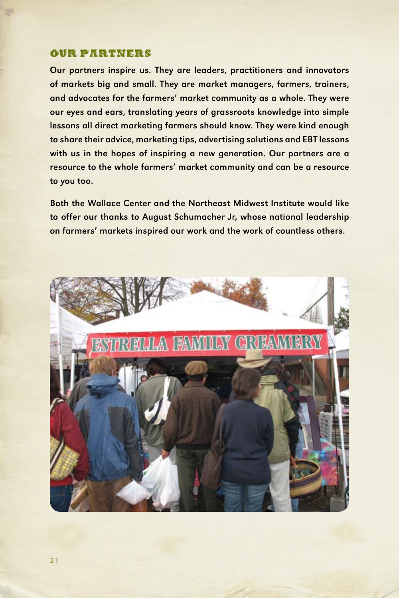### OUR PARTNERS

Our partners inspire us. They are leaders, practitioners and innovators of markets big and small. They are market managers, farmers, trainers, and advocates for the farmers' market community as a whole. They were our eyes and ears, translating years of grassroots knowledge into simple lessons all direct marketing farmers should know. They were kind enough to share their advice, marketing tips, advertising solutions and EBT lessons with us in the hopes of inspiring a new generation. Our partners are a resource to the whole farmers' market community and can be a resource to you too.

Both the Wallace Center and the Northeast Midwest Institute would like to offer our thanks to August Schumacher Jr, whose national leadership on farmers' markets inspired our work and the work of countless others.

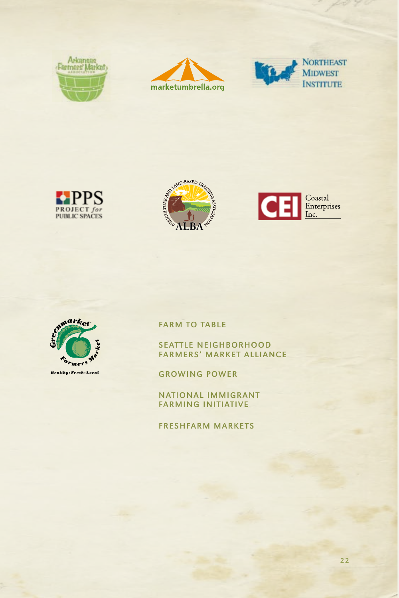













**FARM TO TABLE** 

SEATTLE NEIGHBORHOOD Farmers' Market Alliance

Growing Power

National Immigrant Farming Initiative

FreshFarm Markets